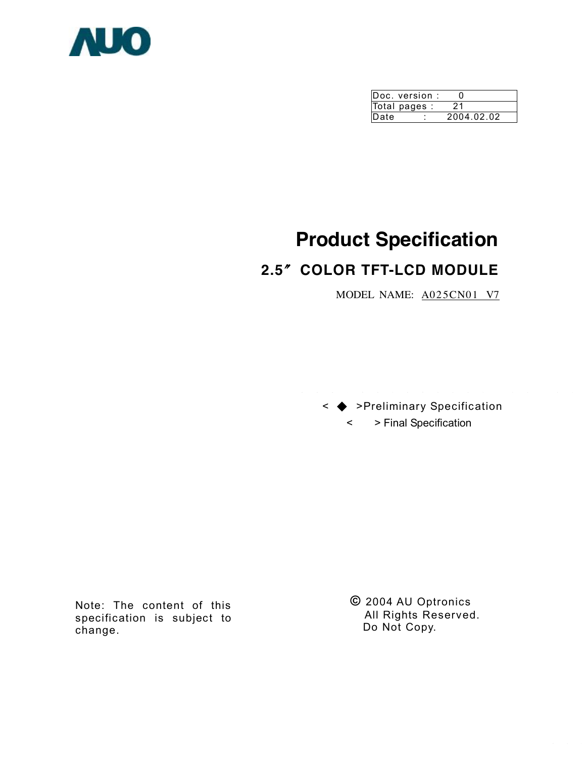

|      | Doc. version: |            |
|------|---------------|------------|
|      | Total pages : | 21         |
| Date |               | 2004.02.02 |

# **Product Specification**

# **2.5**〞**COLOR TFT-LCD MODULE**

MODEL NAME: A025CN01 V7



Note: The content of this specification is subject to change.

**©** 2004 AU Optronics All Rights Reserved. Do Not Copy.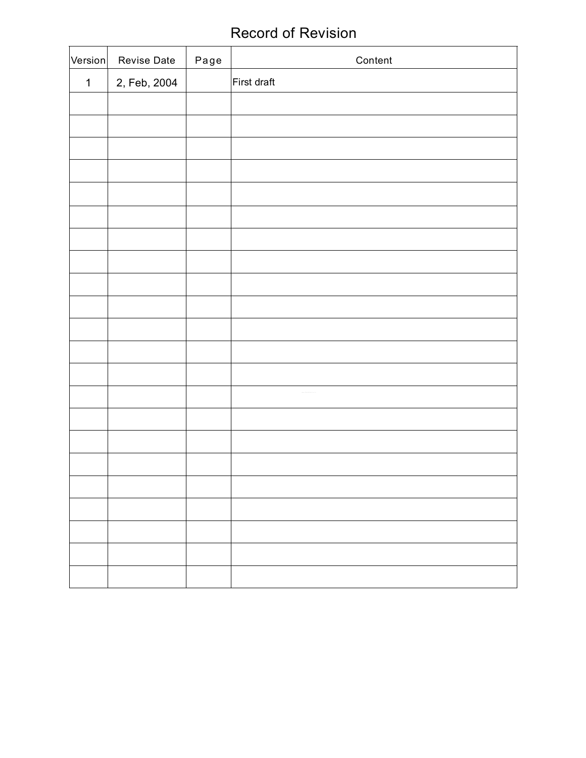# Record of Revision

| Version     | Revise Date  | Page | Content     |
|-------------|--------------|------|-------------|
| $\mathbf 1$ | 2, Feb, 2004 |      | First draft |
|             |              |      |             |
|             |              |      |             |
|             |              |      |             |
|             |              |      |             |
|             |              |      |             |
|             |              |      |             |
|             |              |      |             |
|             |              |      |             |
|             |              |      |             |
|             |              |      |             |
|             |              |      |             |
|             |              |      |             |
|             |              |      |             |
|             |              |      |             |
|             |              |      |             |
|             |              |      |             |
|             |              |      |             |
|             |              |      |             |
|             |              |      |             |
|             |              |      |             |
|             |              |      |             |
|             |              |      |             |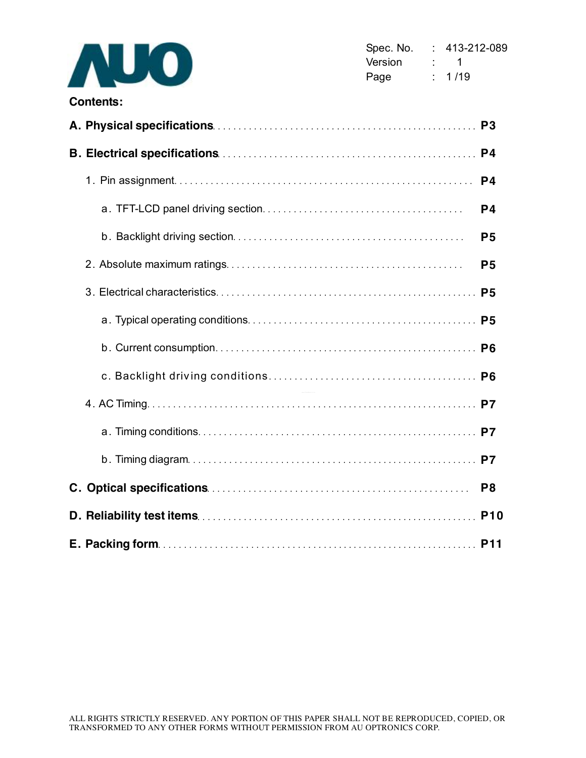

|  | P <sub>3</sub> |
|--|----------------|
|  |                |
|  | P <sub>4</sub> |
|  | P4             |
|  | <b>P5</b>      |
|  | P <sub>5</sub> |
|  | <b>P5</b>      |
|  |                |
|  |                |
|  |                |
|  |                |
|  |                |
|  |                |
|  | P <sub>8</sub> |
|  | <b>P10</b>     |
|  |                |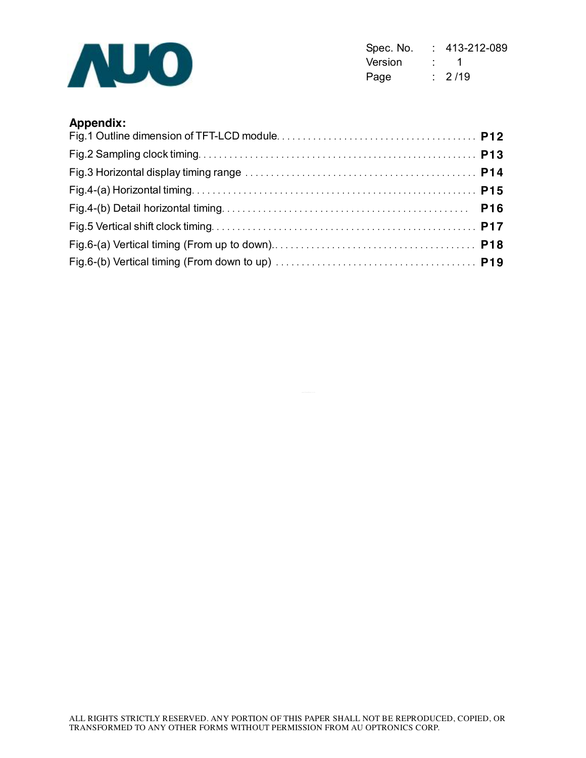

Spec. No. : 413-212-089 Version : 1 Page : 2/19

## **Appendix:**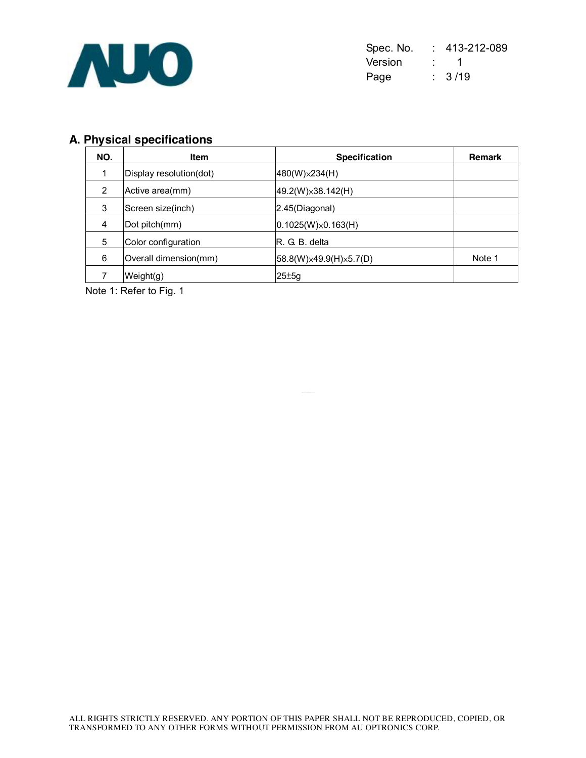

| Spec. No. | 413-212-089        |
|-----------|--------------------|
| Version   | $\cdot$ 1          |
| Page      | $\frac{1}{2}$ 3/19 |

# **A. Physical specifications**

| NO. | <b>Item</b>             | <b>Specification</b>         | <b>Remark</b> |
|-----|-------------------------|------------------------------|---------------|
|     | Display resolution(dot) | $480(W)\times 234(H)$        |               |
| 2   | Active area(mm)         | $49.2(W)\times 38.142(H)$    |               |
| 3   | Screen size(inch)       | 2.45(Diagonal)               |               |
| 4   | Dot pitch(mm)           | $(0.1025(W)\times 0.163(H))$ |               |
| 5   | Color configuration     | R. G. B. delta               |               |
| 6   | Overall dimension(mm)   | 58.8(W)×49.9(H)×5.7(D)       | Note 1        |
|     | Weight(g)               | $25 \pm 5g$                  |               |

Note 1: Refer to Fig. 1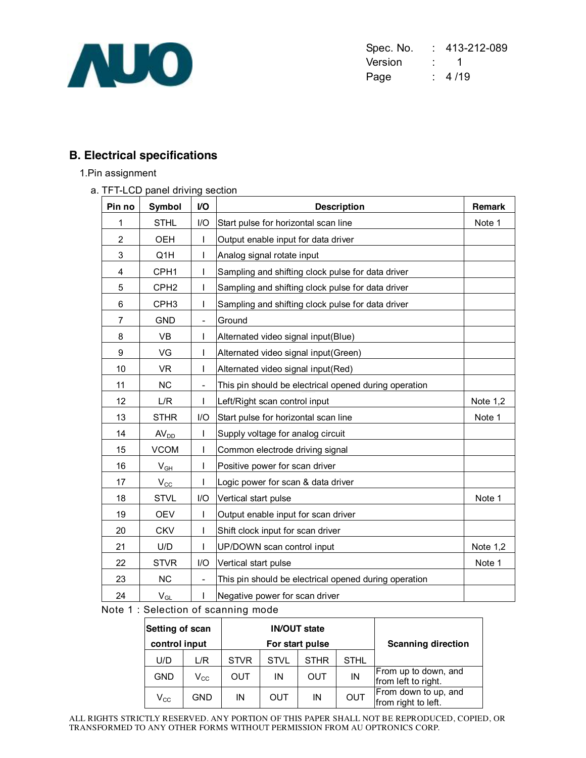

Spec. No. : 413-212-089 Version : 1 Page : 4/19

# **B. Electrical specifications**

#### 1.Pin assignment

a. TFT-LCD panel driving section

| Pin no         | <b>Symbol</b>    | V <sub>O</sub>           | <b>Description</b>                                    | Remark          |
|----------------|------------------|--------------------------|-------------------------------------------------------|-----------------|
| 1              | <b>STHL</b>      | 1/O                      | Start pulse for horizontal scan line                  | Note 1          |
| $\overline{2}$ | <b>OEH</b>       | L                        | Output enable input for data driver                   |                 |
| 3              | Q1H              | L                        | Analog signal rotate input                            |                 |
| 4              | CPH <sub>1</sub> | I                        | Sampling and shifting clock pulse for data driver     |                 |
| 5              | CPH <sub>2</sub> | T                        | Sampling and shifting clock pulse for data driver     |                 |
| 6              | CPH <sub>3</sub> | T                        | Sampling and shifting clock pulse for data driver     |                 |
| $\overline{7}$ | <b>GND</b>       | $\overline{\phantom{a}}$ | Ground                                                |                 |
| 8              | <b>VB</b>        | L                        | Alternated video signal input(Blue)                   |                 |
| 9              | VG               | L                        | Alternated video signal input(Green)                  |                 |
| 10             | <b>VR</b>        | L                        | Alternated video signal input(Red)                    |                 |
| 11             | <b>NC</b>        | $\overline{\phantom{a}}$ | This pin should be electrical opened during operation |                 |
| 12             | L/R              |                          | Left/Right scan control input                         | <b>Note 1,2</b> |
| 13             | <b>STHR</b>      | I/O                      | Start pulse for horizontal scan line                  | Note 1          |
| 14             | AV <sub>DD</sub> |                          | Supply voltage for analog circuit                     |                 |
| 15             | <b>VCOM</b>      | L                        | Common electrode driving signal                       |                 |
| 16             | $V_{GH}$         |                          | Positive power for scan driver                        |                 |
| 17             | $V_{\rm CC}$     |                          | Logic power for scan & data driver                    |                 |
| 18             | <b>STVL</b>      | I/O                      | Vertical start pulse                                  | Note 1          |
| 19             | <b>OEV</b>       | L                        | Output enable input for scan driver                   |                 |
| 20             | <b>CKV</b>       | L                        | Shift clock input for scan driver                     |                 |
| 21             | U/D              |                          | UP/DOWN scan control input                            | Note 1,2        |
| 22             | <b>STVR</b>      | 1/O                      | Vertical start pulse                                  | Note 1          |
| 23             | <b>NC</b>        |                          | This pin should be electrical opened during operation |                 |
| 24             | $V_{GL}$         | L                        | Negative power for scan driver                        |                 |

Note 1 : Selection of scanning mode

| Setting of scan            |                            |             |             | <b>IN/OUT state</b> |                           |                                             |  |  |
|----------------------------|----------------------------|-------------|-------------|---------------------|---------------------------|---------------------------------------------|--|--|
| control input              |                            |             |             | For start pulse     | <b>Scanning direction</b> |                                             |  |  |
| U/D                        | L/R                        | <b>STVR</b> | <b>STVL</b> | <b>STHR</b>         | <b>STHL</b>               |                                             |  |  |
| <b>GND</b>                 | $\mathsf{V}_{\mathsf{CC}}$ | OUT         | ΙN          | OUT                 | ΙN                        | From up to down, and<br>from left to right. |  |  |
| $\mathsf{V}_{\mathsf{CC}}$ | GND                        | IN          | OUT         | ΙN                  | <b>OUT</b>                | From down to up, and<br>from right to left. |  |  |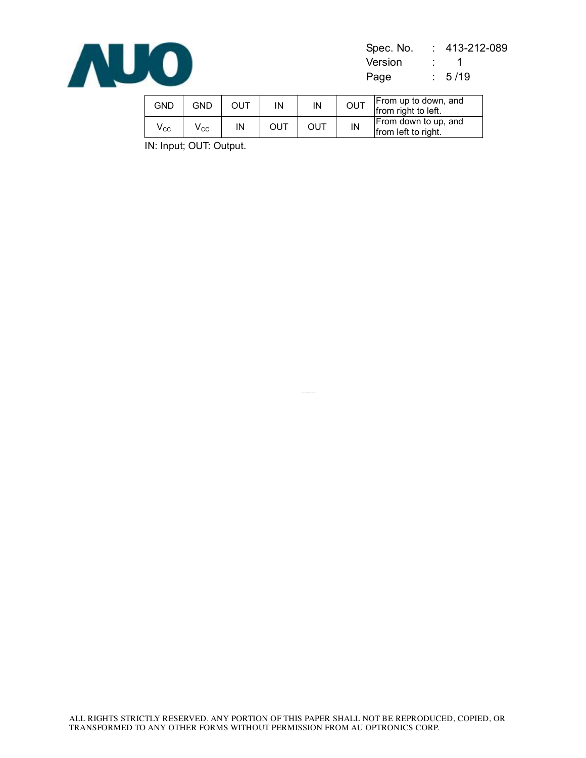

Spec. No. : 413-212-089 Version : 1 Page : 5/19

| GND                        | GND                        | ουτ | IN  | IN  | <b>OUT</b> | From up to down, and<br>from right to left. |
|----------------------------|----------------------------|-----|-----|-----|------------|---------------------------------------------|
| $\mathsf{V}_{\mathrm{CC}}$ | $\mathsf{v}_{\mathsf{cc}}$ | ΙN  | ουτ | ουτ | IN         | From down to up, and<br>from left to right. |

IN: Input; OUT: Output.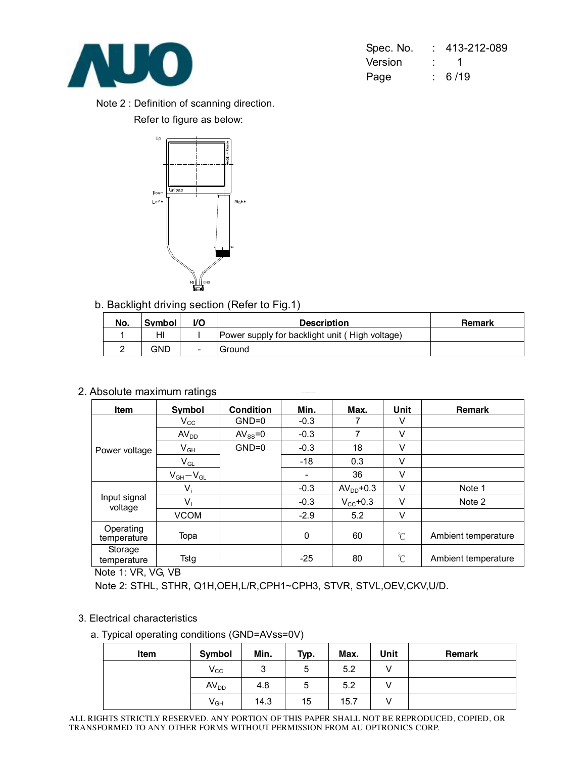

| Spec. No. | 413-212-089 |
|-----------|-------------|
| Version   | the con-    |
| Page      | : 6/19      |

Note 2 : Definition of scanning direction. Refer to figure as below:



b. Backlight driving section (Refer to Fig.1)

| No. | <b>Symbol</b> | VO.                      | <b>Description</b>                             | Remark |
|-----|---------------|--------------------------|------------------------------------------------|--------|
|     | HI            |                          | Power supply for backlight unit (High voltage) |        |
|     | GND           | $\overline{\phantom{0}}$ | lGround                                        |        |

## 2. Absolute maximum ratings

| Item                     | Symbol           | <b>Condition</b> | <u>Min.</u> | Max.          | Unit                 | <b>Remark</b>       |
|--------------------------|------------------|------------------|-------------|---------------|----------------------|---------------------|
|                          | $V_{\rm CC}$     | $GND=0$          | $-0.3$      |               | V                    |                     |
|                          | AV <sub>DD</sub> | $AV_{SS} = 0$    | $-0.3$      | 7             | V                    |                     |
| Power voltage            | $V_{GH}$         | $GND=0$          | $-0.3$      | 18            | V                    |                     |
|                          | $V_{GL}$         |                  | $-18$       | 0.3           | V                    |                     |
|                          | $V_{GH}-V_{GL}$  |                  |             | 36            | V                    |                     |
|                          | $V_i$            |                  | $-0.3$      | $AVDD+0.3$    | V                    | Note 1              |
| Input signal<br>voltage  | $V_1$            |                  | $-0.3$      | $V_{CC}$ +0.3 | V                    | Note 2              |
|                          | <b>VCOM</b>      |                  | $-2.9$      | 5.2           | V                    |                     |
| Operating<br>temperature | Topa             |                  | 0           | 60            | $^{\circ}$ C         | Ambient temperature |
| Storage<br>temperature   | Tstg             |                  | $-25$       | 80            | $\mathrm{C}^{\circ}$ | Ambient temperature |

Note 1: VR, VG, VB

Note 2: STHL, STHR, Q1H,OEH,L/R,CPH1~CPH3, STVR, STVL,OEV,CKV,U/D.

#### 3. Electrical characteristics

#### a. Typical operating conditions (GND=AVss=0V)

| Item | Symbol           | Min.   | Typ. | Max. | Unit | Remark |
|------|------------------|--------|------|------|------|--------|
|      | $V_{\rm CC}$     | ົ<br>ບ | 5    | 5.2  |      |        |
|      | AV <sub>DD</sub> | 4.8    | 5    | 5.2  |      |        |
|      | $V_{GH}$         | 14.3   | 15   | 15.7 | ٧    |        |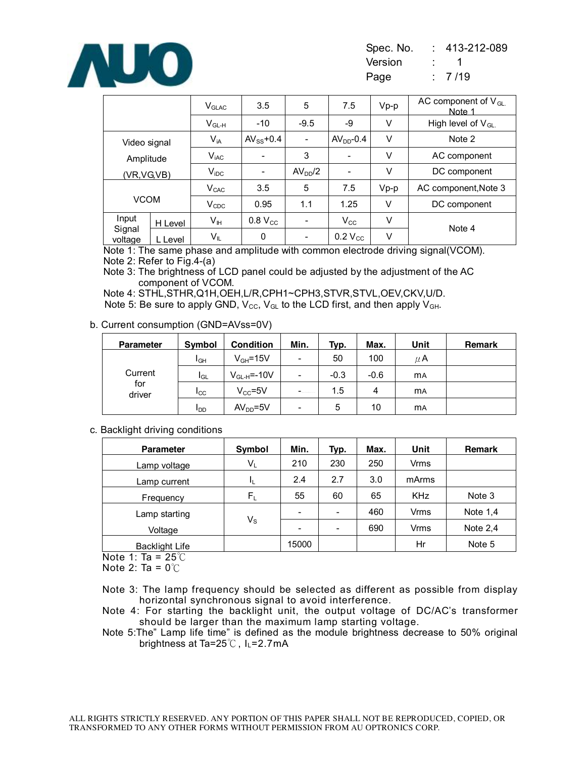

| Spec. No. | 413-212-089 |
|-----------|-------------|
| Version   |             |
| Page      | :7/19       |

|                            |         | $\rm V_{GLAC}$   | 3.5                      | 5                   | 7.5          | $Vp-p$ | AC component of $V_{GL.}$<br>Note 1 |
|----------------------------|---------|------------------|--------------------------|---------------------|--------------|--------|-------------------------------------|
|                            |         | $V_{GL-H}$       | $-10$                    | $-9.5$              | -9           | V      | High level of $V_{GL}$              |
| Video signal               |         | $V_{iA}$         | $AV_{SS}$ +0.4           | ÷                   | $AVDD - 0.4$ | V      | Note 2                              |
| Amplitude                  |         | $V_{\text{iAC}}$ | $\overline{\phantom{0}}$ | 3                   | -            | V      | AC component                        |
| (VR,VG,VB)                 |         | $V_{\text{IDC}}$ | $\overline{\phantom{a}}$ | AV <sub>DD</sub> /2 | ۰            | V      | DC component                        |
| <b>VCOM</b>                |         | V <sub>CAC</sub> | 3.5                      | 5                   | 7.5          | $Vp-p$ | AC component, Note 3                |
|                            |         | $V_{CDC}$        | 0.95                     | 1.1                 | 1.25         | V      | DC component                        |
| Input<br>Signal<br>voltage | H Level | V <sub>IH</sub>  | $0.8 V_{CC}$             | ۰                   | $V_{\rm CC}$ | V      |                                     |
|                            | L Level | VIL              | 0                        | ٠                   | $0.2 V_{CC}$ | V      | Note 4                              |

Note 1: The same phase and amplitude with common electrode driving signal(VCOM). Note 2: Refer to Fig.4-(a)

Note 3: The brightness of LCD panel could be adjusted by the adjustment of the AC component of VCOM.

Note 4: STHL,STHR,Q1H,OEH,L/R,CPH1~CPH3,STVR,STVL,OEV,CKV,U/D. Note 5: Be sure to apply GND,  $V_{\text{CC}}$ ,  $V_{\text{GL}}$  to the LCD first, and then apply  $V_{\text{GH}}$ .

#### b. Current consumption (GND=AVss=0V)

| <b>Parameter</b> | Symbol                 | <b>Condition</b> | Min.                             | Typ.   | Max.   | Unit      | <b>Remark</b> |
|------------------|------------------------|------------------|----------------------------------|--------|--------|-----------|---------------|
| Current          | I <sub>GH</sub>        | $V_{GH} = 15V$   | $\overline{\phantom{a}}$         | 50     | 100    | μA        |               |
|                  | I <sub>GL</sub>        | $V_{GL-H}$ =-10V | -                                | $-0.3$ | $-0.6$ | <b>MA</b> |               |
| for<br>driver    | $_{\rm{ICC}}$          | $V_{CC} = 5V$    | $-$ and the contract of $\alpha$ | 1.5    | 4      | <b>MA</b> |               |
|                  | <b>I</b> <sub>DD</sub> | $AVDD=5V$        | -                                | 5      | 10     | <b>MA</b> |               |

#### c. Backlight driving conditions

| <b>Parameter</b>      | Symbol                  | Min.  | Typ.                     | Max. | Unit       | Remark     |
|-----------------------|-------------------------|-------|--------------------------|------|------------|------------|
| Lamp voltage          | $V_L$                   | 210   | 230                      | 250  | Vrms       |            |
| Lamp current          |                         | 2.4   | 2.7                      | 3.0  | mArms      |            |
| Frequency             | $\mathsf{F}_\mathsf{L}$ | 55    | 60                       | 65   | <b>KHz</b> | Note 3     |
| Lamp starting         | $V_{\rm S}$             |       | $\overline{\phantom{a}}$ | 460  | Vrms       | Note $1,4$ |
| Voltage               |                         |       | $\overline{\phantom{a}}$ | 690  | Vrms       | Note $2,4$ |
| <b>Backlight Life</b> |                         | 15000 |                          |      | Hr         | Note 5     |

Note 1: Ta = 25℃

Note 2: Ta =  $0^{\circ}$ C

Note 3: The lamp frequency should be selected as different as possible from display horizontal synchronous signal to avoid interference.

Note 4: For starting the backlight unit, the output voltage of DC/AC's transformer should be larger than the maximum lamp starting voltage.

Note 5:The" Lamp life time" is defined as the module brightness decrease to 50% original brightness at Ta=25℃, IL=2.7mA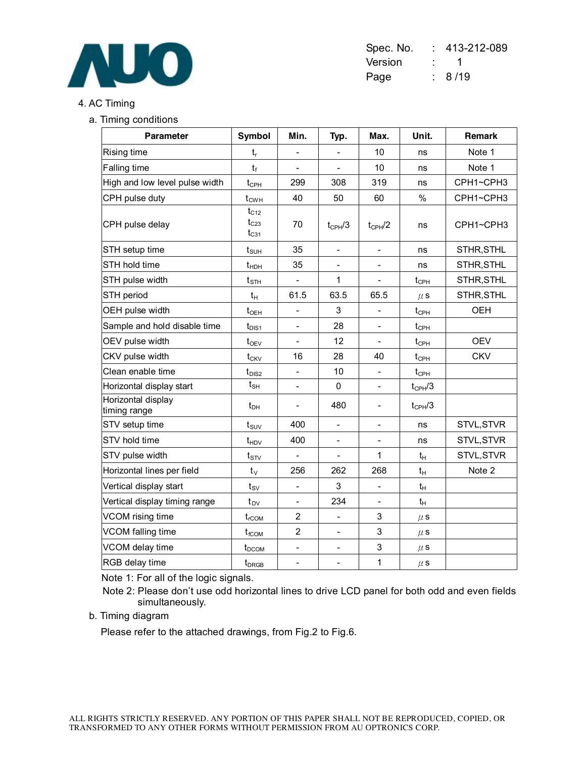

| Spec. No. | $: 413 - 212 - 089$ |
|-----------|---------------------|
| Version   | the control         |
| Page      | : 8/19              |

#### 4. AC Timing

a. Timing conditions

| <b>Parameter</b>                   | Symbol                                 | Min.                     | Typ.                     | Max.                     | Unit.                         | Remark     |
|------------------------------------|----------------------------------------|--------------------------|--------------------------|--------------------------|-------------------------------|------------|
| Rising time                        | t,                                     | $\overline{\phantom{0}}$ | $\overline{\phantom{0}}$ | 10                       | ns                            | Note 1     |
| Falling time                       | $t_f$                                  |                          |                          | 10                       | ns                            | Note 1     |
| High and low level pulse width     | $t_{\scriptscriptstyle{\mathrm{CPH}}}$ | 299                      | 308                      | 319                      | ns                            | CPH1~CPH3  |
| CPH pulse duty                     | $t_{CWH}$                              | 40                       | 50                       | 60                       | %                             | CPH1~CPH3  |
| CPH pulse delay                    | $t_{C12}$<br>$t_{C23}$<br>$t_{C31}$    | 70                       | $t_{CPH}/3$              | $t_{\text{CPH}}/2$       | ns                            | CPH1~CPH3  |
| STH setup time                     | $t_{\text{SUH}}$                       | 35                       | $\overline{\phantom{0}}$ | $\overline{\phantom{a}}$ | ns                            | STHR, STHL |
| STH hold time                      | $t_{HDH}$                              | 35                       | $\qquad \qquad -$        |                          | ns                            | STHR, STHL |
| STH pulse width                    | $t_{\text{STH}}$                       | $\overline{a}$           | 1                        |                          | $t_{\text{CPH}}$              | STHR, STHL |
| STH period                         | $t_H$                                  | 61.5                     | 63.5                     | 65.5                     | $\mu$ S                       | STHR, STHL |
| OEH pulse width                    | $t_{\text{OEH}}$                       | $\overline{a}$           | 3                        |                          | $t_{\text{CPH}}$              | <b>OEH</b> |
| Sample and hold disable time       | $t_{\text{DIS1}}$                      | $\overline{a}$           | 28                       | $\overline{\phantom{a}}$ | $t_{\text{CPH}}$              |            |
| OEV pulse width                    | $t_{\rm OEV}$                          | $\overline{\phantom{0}}$ | 12                       | $\overline{\phantom{a}}$ | $t_{\text{CPH}}$              | <b>OEV</b> |
| CKV pulse width                    | $t_{CKV}$                              | 16                       | 28                       | 40                       | $t_{\scriptscriptstyle{CPH}}$ | <b>CKV</b> |
| Clean enable time                  | $t_{DIS2}$                             |                          | 10                       |                          | $t_{\text{CPH}}$              |            |
| Horizontal display start           | $t_{\text{SH}}$                        | $\overline{a}$           | 0                        |                          | $t_{CPH}/3$                   |            |
| Horizontal display<br>timing range | $t_{\text{DH}}$                        |                          | 480                      | $\overline{\phantom{a}}$ | $t_{CPH}/3$                   |            |
| STV setup time                     | $t_{\scriptscriptstyle\mathrm{SUV}}$   | 400                      | $\overline{\phantom{0}}$ |                          | ns                            | STVL, STVR |
| STV hold time                      | $t_{HDV}$                              | 400                      | $\overline{\phantom{0}}$ | $\overline{\phantom{a}}$ | ns                            | STVL, STVR |
| STV pulse width                    | $t_{\scriptstyle\text{STV}}$           |                          |                          | 1                        | $t_{H}$                       | STVL, STVR |
| Horizontal lines per field         | $t_{\rm V}$                            | 256                      | 262                      | 268                      | $t_H$                         | Note 2     |
| Vertical display start             | $t_{\scriptscriptstyle\text{SV}}$      | $\qquad \qquad -$        | 3                        | $\overline{\phantom{a}}$ | $t_H$                         |            |
| Vertical display timing range      | $t_{\text{DV}}$                        |                          | 234                      |                          | $t_H$                         |            |
| VCOM rising time                   | $t_{\text{rCOM}}$                      | $\overline{2}$           | $\overline{\phantom{0}}$ | 3                        | $\mu$ S                       |            |
| VCOM falling time                  | $t_{fCOM}$                             | $\overline{2}$           | $\overline{\phantom{a}}$ | 3                        | $\mu$ S                       |            |
| VCOM delay time                    | $t_{DCOM}$                             | $\overline{\phantom{0}}$ | $\overline{\phantom{0}}$ | 3                        | $\mu$ S                       |            |
| RGB delay time                     | $t_{DRGB}$                             | $\overline{\phantom{0}}$ | $\overline{\phantom{0}}$ | $\mathbf{1}$             | $\mu$ S                       |            |

Note 1: For all of the logic signals.

Note 2: Please don't use odd horizontal lines to drive LCD panel for both odd and even fields simultaneously.

b. Timing diagram

Please refer to the attached drawings, from Fig.2 to Fig.6.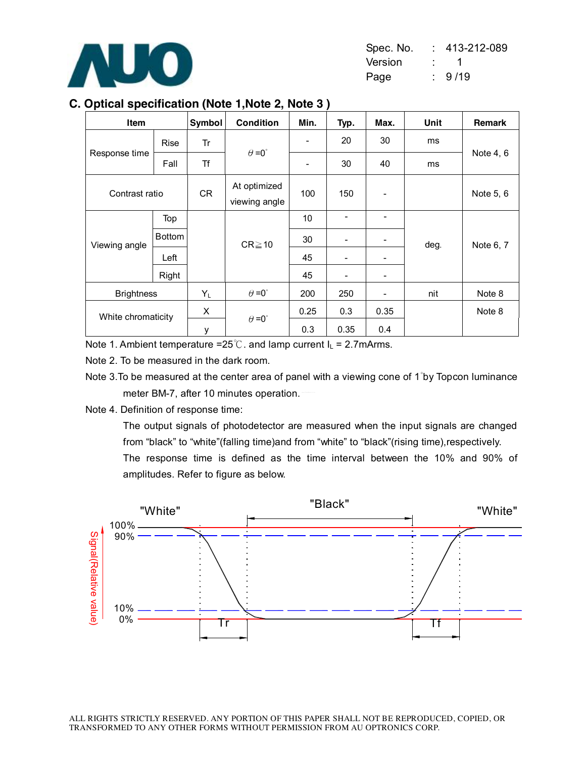

| Spec. No. | $: 413 - 212 - 089$ |
|-----------|---------------------|
| Version   | the con-            |
| Page      | 9/19                |

### **C. Optical specification (Note 1,Note 2, Note 3 )**

| <b>Item</b>        |               | Symbol | <b>Condition</b>              | Min.                     | Typ.                         | Max. | Unit | Remark    |
|--------------------|---------------|--------|-------------------------------|--------------------------|------------------------------|------|------|-----------|
|                    | <b>Rise</b>   | Tr     |                               | $\overline{\phantom{a}}$ | 20                           | 30   | ms   |           |
| Response time      | Fall          | Τf     | $\theta = 0^{\circ}$          | $\overline{\phantom{a}}$ | 30                           | 40   | ms   | Note 4, 6 |
| Contrast ratio     |               | CR     | At optimized<br>viewing angle | 100                      | 150                          |      |      | Note 5, 6 |
|                    | Top           |        |                               | 10                       |                              |      |      |           |
| Viewing angle      | <b>Bottom</b> |        | $CR \ge 10$                   | 30                       | $\overline{\phantom{0}}$     |      | deg. | Note 6, 7 |
|                    | Left          |        |                               | 45                       |                              |      |      |           |
|                    | Right         |        |                               | 45                       | $\qquad \qquad \blacksquare$ |      |      |           |
| <b>Brightness</b>  |               | $Y_L$  | $\theta = 0^{\circ}$          | 200                      | 250                          |      | nit  | Note 8    |
| White chromaticity |               | X      | $\theta = 0^{\circ}$          | 0.25                     | 0.3                          | 0.35 |      | Note 8    |
|                    |               | у      |                               | 0.3                      | 0.35                         | 0.4  |      |           |

Note 1. Ambient temperature =25°C. and lamp current  $I_L = 2.7$ mArms.

Note 2. To be measured in the dark room.

Note 3.To be measured at the center area of panel with a viewing cone of 1°by Topcon luminance meter BM-7, after 10 minutes operation.

Note 4. Definition of response time:

The output signals of photodetector are measured when the input signals are changed from "black" to "white"(falling time)and from "white" to "black"(rising time),respectively.

The response time is defined as the time interval between the 10% and 90% of amplitudes. Refer to figure as below.

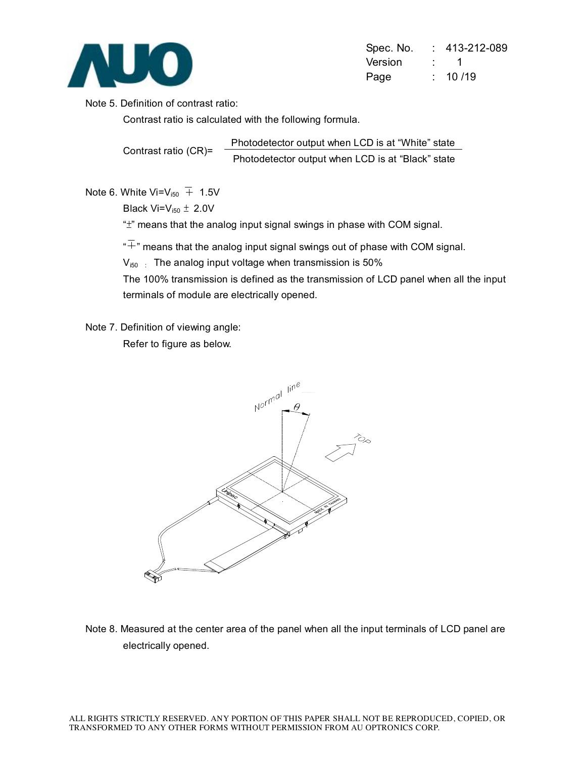

| Spec. No. | $: 413 - 212 - 089$ |
|-----------|---------------------|
| Version   | $\cdot$ 1           |
| Page      | : 10/19             |

Note 5. Definition of contrast ratio:

Contrast ratio is calculated with the following formula.

Contrast ratio (CR)= Photodetector output when LCD is at "White" state Photodetector output when LCD is at "Black" state

Note 6. White Vi= $V_{150}$  + 1.5V

Black Vi= $V_{i50}$   $\pm$  2.0V

"±" means that the analog input signal swings in phase with COM signal.

 $\overline{a}^*$  means that the analog input signal swings out of phase with COM signal.

 $V_{150}$  : The analog input voltage when transmission is 50%

The 100% transmission is defined as the transmission of LCD panel when all the input terminals of module are electrically opened.

Note 7. Definition of viewing angle:

Refer to figure as below.



Note 8. Measured at the center area of the panel when all the input terminals of LCD panel are electrically opened.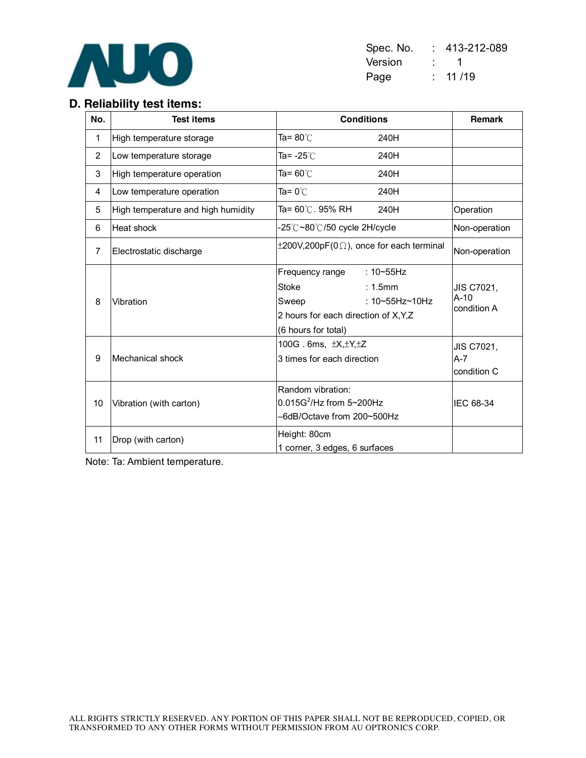

| Spec. No. | 413-212-089     |
|-----------|-----------------|
| Version   | <b>Property</b> |
| Page      | : 11/19         |

# **D. Reliability test items:**

| No.            | <b>Test items</b>                  | <b>Conditions</b>                                                                                                                              | Remark                                     |
|----------------|------------------------------------|------------------------------------------------------------------------------------------------------------------------------------------------|--------------------------------------------|
| 1              | High temperature storage           | Ta= $80^{\circ}$ C<br>240H                                                                                                                     |                                            |
| $\overline{2}$ | Low temperature storage            | Ta= -25℃<br>240H                                                                                                                               |                                            |
| 3              | High temperature operation         | Ta= 60℃<br>240H                                                                                                                                |                                            |
| 4              | Low temperature operation          | Ta= $0^{\circ}$ C<br>240H                                                                                                                      |                                            |
| 5              | High temperature and high humidity | Ta= 60℃. 95% RH<br>240H                                                                                                                        | Operation                                  |
| 6              | Heat shock                         | -25℃~80℃/50 cycle 2H/cycle                                                                                                                     | Non-operation                              |
| $\overline{7}$ | Electrostatic discharge            | $\pm 200V, 200pF(0\Omega)$ , once for each terminal                                                                                            | Non-operation                              |
| 8              | Vibration                          | : $10 - 55$ Hz<br>Frequency range<br>: 1.5mm<br>Stoke<br>: 10~55Hz~10Hz<br>Sweep<br>2 hours for each direction of X,Y,Z<br>(6 hours for total) | <b>JIS C7021,</b><br>$A-10$<br>condition A |
| 9              | Mechanical shock                   | 100G. 6ms, $\pm X, \pm Y, \pm Z$<br>3 times for each direction                                                                                 | JIS C7021,<br>$A - 7$<br>condition C       |
| 10             | Vibration (with carton)            | Random vibration:<br>$0.015G^2$ /Hz from 5~200Hz<br>-6dB/Octave from 200~500Hz                                                                 | IEC 68-34                                  |
| 11             | Drop (with carton)                 | Height: 80cm<br>1 corner, 3 edges, 6 surfaces                                                                                                  |                                            |

Note: Ta: Ambient temperature.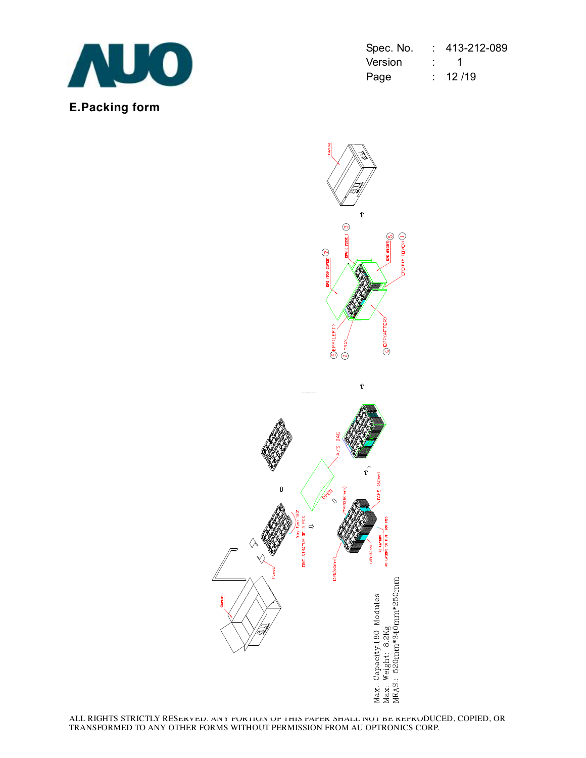

| Spec. No. | 413-212-089 |
|-----------|-------------|
| Version   |             |
| Page      | : 12/19     |

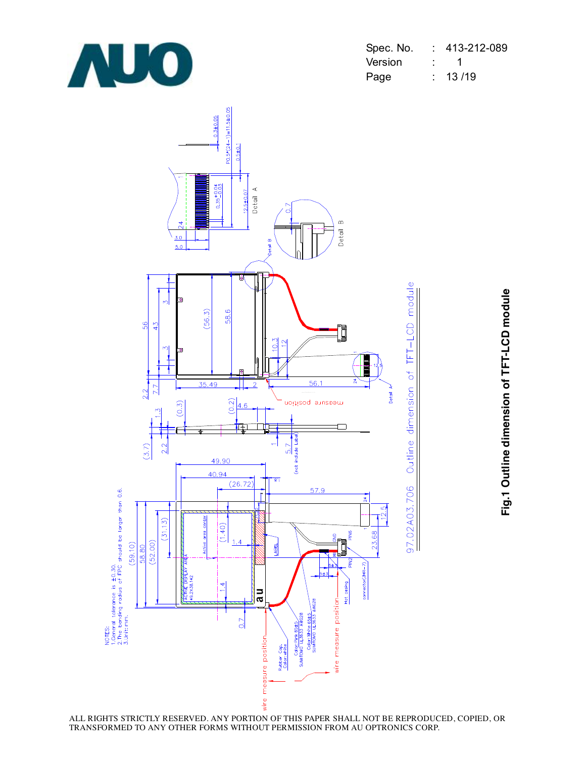

| Spec. No. | 413-212-089 |
|-----------|-------------|
| Version   |             |
| Page      | 13/19       |



**Fig.1 O utlin e dim e n sio n of T F T-L C D m o d**

**ule**

ALL RIGHTS STRICTLY RESERVED. ANY PORTION OF THIS PAPER SHALL NOT BE REPRODUCED, COPIED, OR TRANSFORMED TO ANY OTHER FORMS WITHOUT PERMISSION FROM AU OPTRONICS CORP.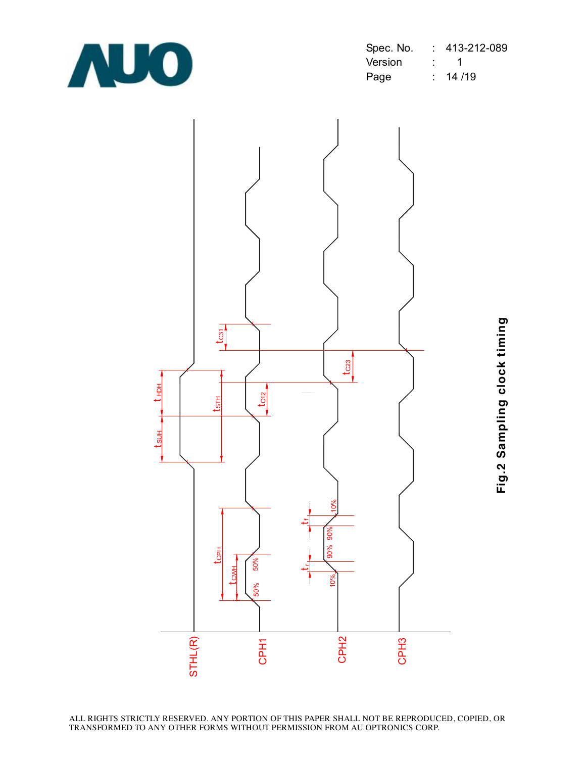

| Spec. No. |                               | 413-212-089 |
|-----------|-------------------------------|-------------|
| Version   |                               |             |
| Page      | $\mathcal{I}^{\mathcal{I}}$ . | 14/19       |

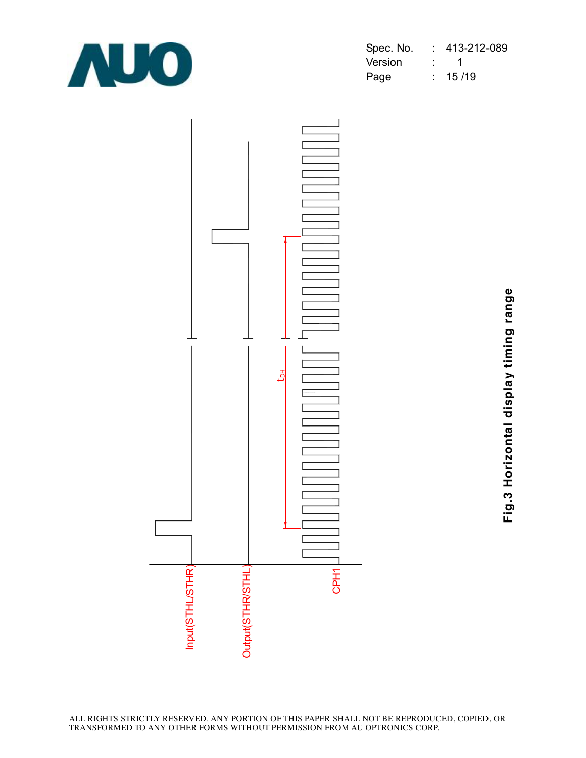

| Spec. No. | 413-212-089 |
|-----------|-------------|
| Version   |             |
| Page      | : 15/19     |



**Fig.3 H oriz o ntal dis pla y timin g ra n g**

**e**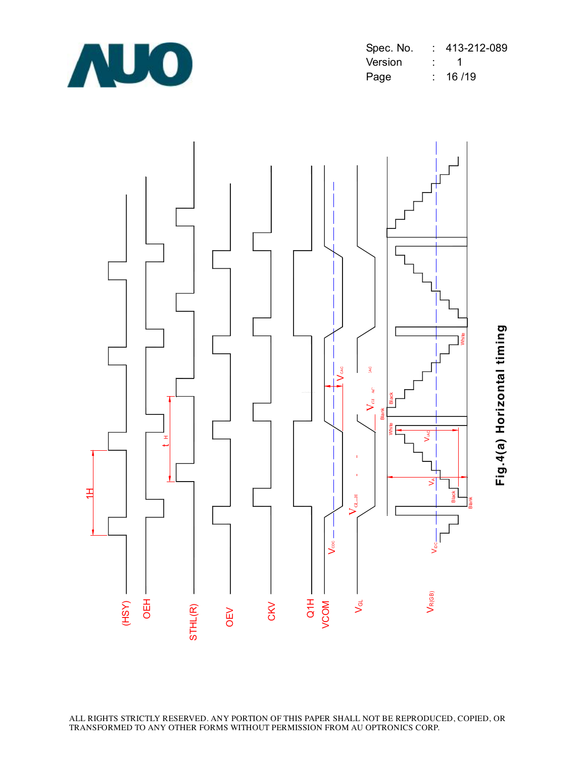

| Spec. No. | 413-212-089 |
|-----------|-------------|
| Version   |             |
| Page      | : 16/19     |



**Fig.4(a) H oriz o ntal timin**

**g**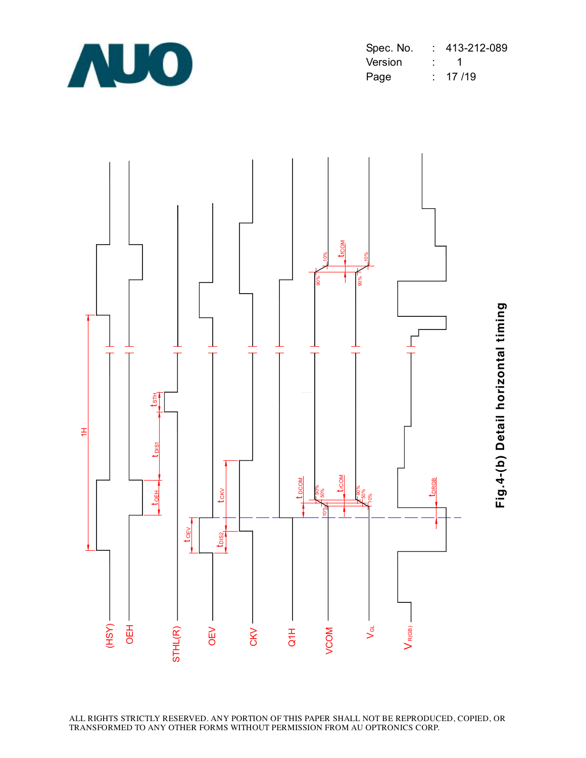

| Spec. No. | 413-212-089 |
|-----------|-------------|
| Version   |             |
| Page      | : 17/19     |



**Fig.4-(b) D etail h oriz o ntal timin**

**g**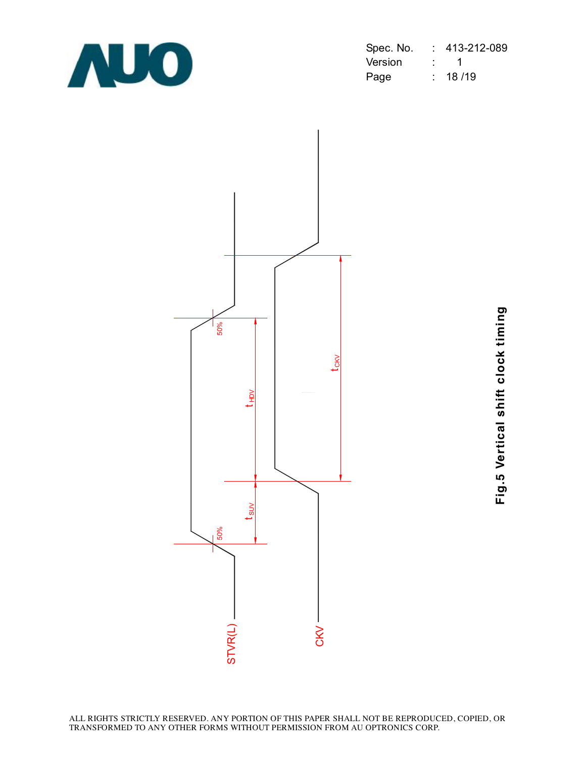

| Spec. No. | 413-212-089 |
|-----------|-------------|
| Version   |             |
| Page      | 18 / 19     |



**Fig.5 V ertic al s hift clo c k timin**

**g**

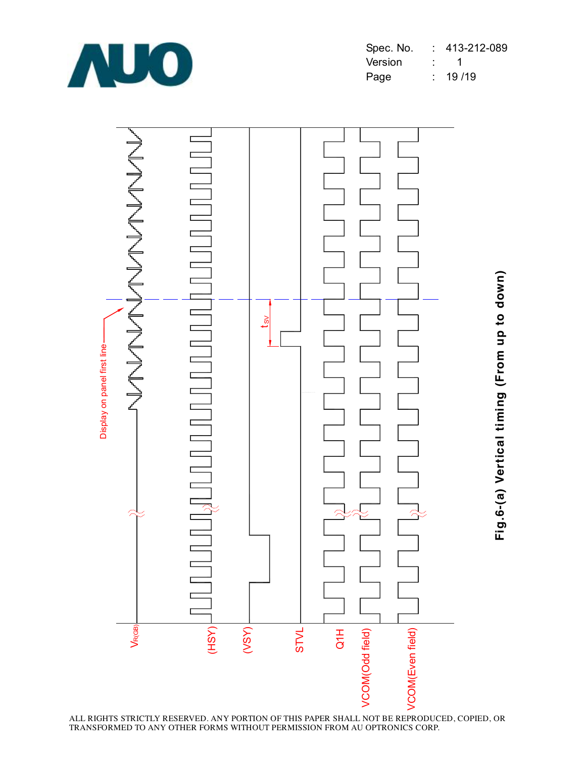



**Fig.6-(a) V ertic al timin g (Fro m u p to d o w n)**